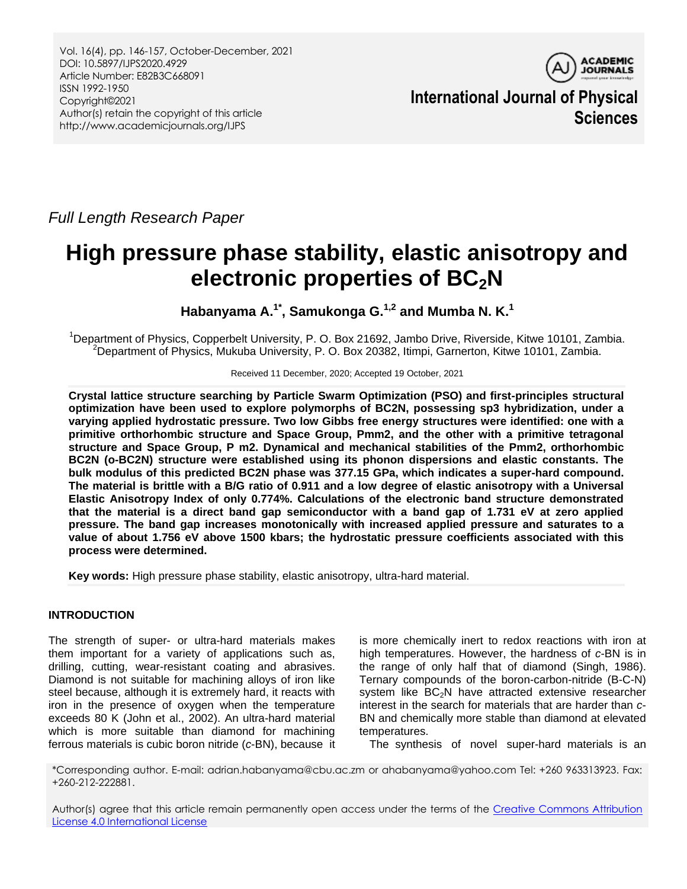Vol. 16(4), pp. 146-157, October-December, 2021 DOI: 10.5897/IJPS2020.4929 Article Number: E82B3C668091 ISSN 1992-1950 Copyright©2021 Author(s) retain the copyright of this article http://www.academicjournals.org/IJPS



**International Journal of Physical Sciences**

*Full Length Research Paper*

# **High pressure phase stability, elastic anisotropy and electronic properties of BC2N**

**Habanyama A.1\*, Samukonga G.1,2 and Mumba N. K.<sup>1</sup>**

<sup>1</sup>Department of Physics, Copperbelt University, P. O. Box 21692, Jambo Drive, Riverside, Kitwe 10101, Zambia. <sup>2</sup>Department of Physics, Mukuba University, P. O. Box 20382, Itimpi, Garnerton, Kitwe 10101, Zambia.

Received 11 December, 2020; Accepted 19 October, 2021

**Crystal lattice structure searching by Particle Swarm Optimization (PSO) and first-principles structural optimization have been used to explore polymorphs of BC2N, possessing sp3 hybridization, under a varying applied hydrostatic pressure. Two low Gibbs free energy structures were identified: one with a primitive orthorhombic structure and Space Group, Pmm2, and the other with a primitive tetragonal structure and Space Group, P m2. Dynamical and mechanical stabilities of the Pmm2, orthorhombic BC2N (o-BC2N) structure were established using its phonon dispersions and elastic constants. The bulk modulus of this predicted BC2N phase was 377.15 GPa, which indicates a super-hard compound. The material is brittle with a B/G ratio of 0.911 and a low degree of elastic anisotropy with a Universal Elastic Anisotropy Index of only 0.774%. Calculations of the electronic band structure demonstrated that the material is a direct band gap semiconductor with a band gap of 1.731 eV at zero applied pressure. The band gap increases monotonically with increased applied pressure and saturates to a value of about 1.756 eV above 1500 kbars; the hydrostatic pressure coefficients associated with this process were determined.** 

**Key words:** High pressure phase stability, elastic anisotropy, ultra-hard material.

# **INTRODUCTION**

The strength of super- or ultra-hard materials makes them important for a variety of applications such as, drilling, cutting, wear-resistant coating and abrasives. Diamond is not suitable for machining alloys of iron like steel because, although it is extremely hard, it reacts with iron in the presence of oxygen when the temperature exceeds 80 K (John et al., 2002). An ultra-hard material which is more suitable than diamond for machining ferrous materials is cubic boron nitride (*c*-BN), because it is more chemically inert to redox reactions with iron at high temperatures. However, the hardness of *c*-BN is in the range of only half that of diamond (Singh, 1986). Ternary compounds of the boron-carbon-nitride (B-C-N) system like  $BC_2N$  have attracted extensive researcher interest in the search for materials that are harder than *c*-BN and chemically more stable than diamond at elevated temperatures.

The synthesis of novel super-hard materials is an

\*Corresponding author. E-mail: adrian.habanyama@cbu.ac.zm or ahabanyama@yahoo.com Tel: +260 963313923. Fax: +260-212-222881.

Author(s) agree that this article remain permanently open access under the terms of the [Creative Commons Attribution](http://creativecommons.org/licenses/by/4.0/deed.en_US)  [License 4.0 International License](http://creativecommons.org/licenses/by/4.0/deed.en_US)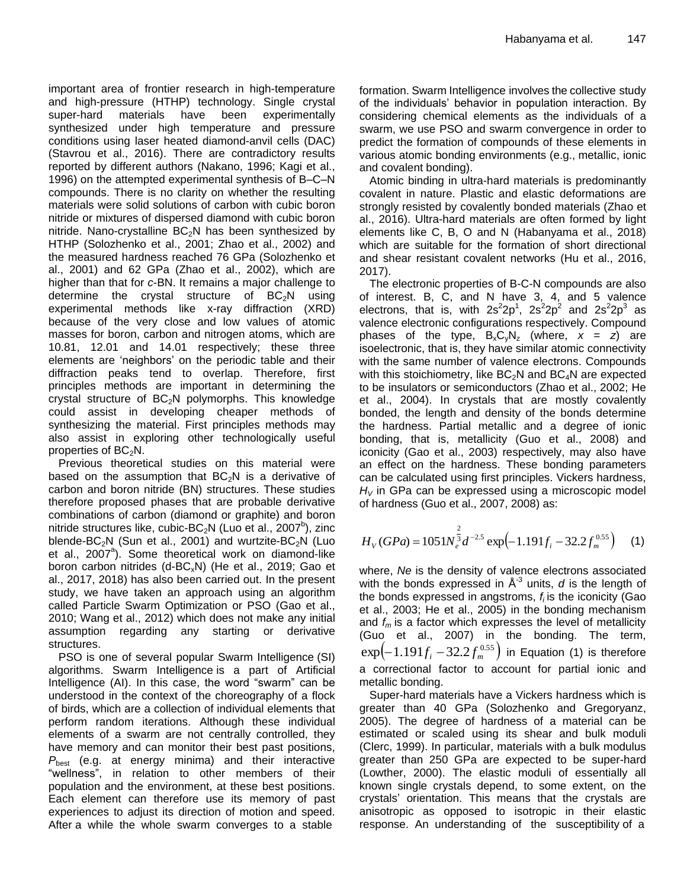important area of frontier research in high-temperature and high-pressure (HTHP) technology. Single crystal super-hard materials have been experimentally synthesized under high temperature and pressure conditions using laser heated diamond-anvil cells (DAC) (Stavrou et al., 2016). There are contradictory results reported by different authors (Nakano, 1996; Kagi et al., 1996) on the attempted experimental synthesis of B–C–N compounds. There is no clarity on whether the resulting materials were solid solutions of carbon with cubic boron nitride or mixtures of dispersed diamond with cubic boron nitride. Nano-crystalline  $BC<sub>2</sub>N$  has been synthesized by HTHP (Solozhenko et al., 2001; Zhao et al., 2002) and the measured hardness reached 76 GPa (Solozhenko et al., 2001) and 62 GPa (Zhao et al., 2002), which are higher than that for *c*-BN. It remains a major challenge to determine the crystal structure of  $BC_2N$  using experimental methods like x-ray diffraction (XRD) because of the very close and low values of atomic masses for boron, carbon and nitrogen atoms, which are 10.81, 12.01 and 14.01 respectively; these three elements are 'neighbors' on the periodic table and their diffraction peaks tend to overlap. Therefore, first principles methods are important in determining the crystal structure of  $BC_2N$  polymorphs. This knowledge could assist in developing cheaper methods of synthesizing the material. First principles methods may also assist in exploring other technologically useful properties of  $BC<sub>2</sub>N$ .

Previous theoretical studies on this material were based on the assumption that  $BC_2N$  is a derivative of carbon and boron nitride (BN) structures. These studies therefore proposed phases that are probable derivative combinations of carbon (diamond or graphite) and boron nitride structures like, cubic-BC<sub>2</sub>N (Luo et al., 2007<sup>b</sup>), zinc blende-BC<sub>2</sub>N (Sun et al., 2001) and wurtzite-BC<sub>2</sub>N (Luo et al., 2007<sup>a</sup>). Some theoretical work on diamond-like boron carbon nitrides (d-BC<sub>x</sub>N) (He et al., 2019; Gao et al., 2017, 2018) has also been carried out. In the present study, we have taken an approach using an algorithm called Particle Swarm Optimization or PSO (Gao et al., 2010; Wang et al., 2012) which does not make any initial assumption regarding any starting or derivative structures.

PSO is one of several popular Swarm Intelligence (SI) algorithms. Swarm Intelligence is a part of Artificial Intelligence (AI). In this case, the word "swarm" can be understood in the context of the choreography of a flock of birds, which are a collection of individual elements that perform random iterations. Although these individual elements of a swarm are not centrally controlled, they have memory and can monitor their best past positions, *P*<sub>best</sub> (e.g. at energy minima) and their interactive "wellness", in relation to other members of their population and the environment, at these best positions. Each element can therefore use its memory of past experiences to adjust its direction of motion and speed. After a while the whole swarm converges to a stable

formation. Swarm Intelligence involves the collective study of the individuals' behavior in population interaction. By considering chemical elements as the individuals of a swarm, we use PSO and swarm convergence in order to predict the formation of compounds of these elements in various atomic bonding environments (e.g., metallic, ionic and covalent bonding).

Atomic binding in ultra-hard materials is predominantly covalent in nature. Plastic and elastic deformations are strongly resisted by covalently bonded materials (Zhao et al., 2016). Ultra-hard materials are often formed by light elements like C, B, O and N (Habanyama et al., 2018) which are suitable for the formation of short directional and shear resistant covalent networks (Hu et al., 2016, 2017).

The electronic properties of B-C-N compounds are also of interest. B, C, and N have 3, 4, and 5 valence electrons, that is, with  $2s^22p^1$ ,  $2s^22p^2$  and  $2s^22p^3$  as valence electronic configurations respectively. Compound phases of the type,  $B_xC_vN_z$  (where,  $x = z$ ) are isoelectronic, that is, they have similar atomic connectivity with the same number of valence electrons. Compounds with this stoichiometry, like  $BC_2N$  and  $BC_4N$  are expected to be insulators or semiconductors (Zhao et al., 2002; He et al., 2004). In crystals that are mostly covalently bonded, the length and density of the bonds determine the hardness. Partial metallic and a degree of ionic bonding, that is, metallicity (Guo et al., 2008) and iconicity (Gao et al., 2003) respectively, may also have an effect on the hardness. These bonding parameters can be calculated using first principles. Vickers hardness, *H<sup>V</sup>* in GPa can be expressed using a microscopic model of hardness (Guo et al., 2007, 2008) as:

$$
H_V(GPa) = 1051N_e^{\frac{2}{3}}d^{-2.5}\exp\left(-1.191f_i - 32.2f_m^{0.55}\right) \tag{1}
$$

where, *Ne* is the density of valence electrons associated with the bonds expressed in  $A^{-3}$  units, *d* is the length of the bonds expressed in angstroms, *f<sup>i</sup>* is the iconicity (Gao et al., 2003; He et al., 2005) in the bonding mechanism and  $f_m$  is a factor which expresses the level of metallicity (Guo et al., 2007) in the bonding. The term,  $\exp \left(-1.191 f_i - 32.2 f_m^{0.55} \right)$  in Equation (1) is therefore a correctional factor to account for partial ionic and metallic bonding.

Super-hard materials have a Vickers hardness which is greater than 40 GPa (Solozhenko and Gregoryanz, 2005). The degree of hardness of a material can be estimated or scaled using its shear and bulk moduli (Clerc, 1999). In particular, materials with a bulk modulus greater than 250 GPa are expected to be super-hard (Lowther, 2000). The elastic moduli of essentially all known single crystals depend, to some extent, on the crystals' orientation. This means that the crystals are anisotropic as opposed to isotropic in their elastic response. An understanding of the susceptibility of a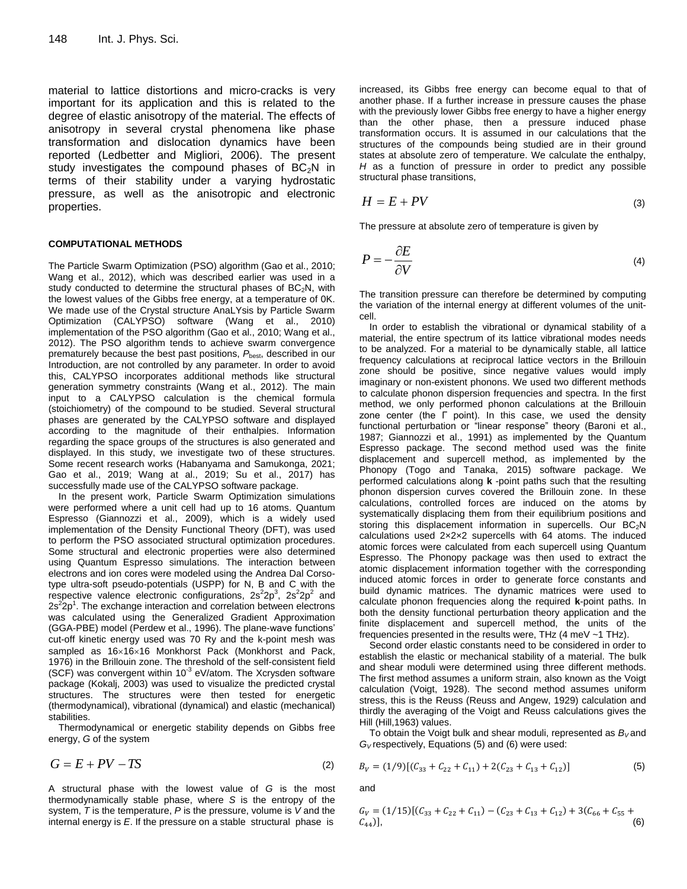material to lattice distortions and micro-cracks is very important for its application and this is related to the degree of elastic anisotropy of the material. The effects of anisotropy in several crystal phenomena like phase transformation and dislocation dynamics have been reported (Ledbetter and Migliori, 2006). The present study investigates the compound phases of  $BC_2N$  in terms of their stability under a varying hydrostatic pressure, as well as the anisotropic and electronic properties.

#### **COMPUTATIONAL METHODS**

The Particle Swarm Optimization (PSO) algorithm (Gao et al., 2010; Wang et al., 2012), which was described earlier was used in a study conducted to determine the structural phases of  $BC_2N$ , with the lowest values of the Gibbs free energy, at a temperature of 0K. We made use of the Crystal structure AnaLYsis by Particle Swarm Optimization (CALYPSO) software (Wang et al., 2010) implementation of the PSO algorithm (Gao et al., 2010; Wang et al., 2012). The PSO algorithm tends to achieve swarm convergence prematurely because the best past positions,  $P_{\text{best}}$ , described in our Introduction, are not controlled by any parameter. In order to avoid this, CALYPSO incorporates additional methods like structural generation symmetry constraints (Wang et al., 2012). The main input to a CALYPSO calculation is the chemical formula (stoichiometry) of the compound to be studied. Several structural phases are generated by the CALYPSO software and displayed according to the magnitude of their enthalpies. Information regarding the space groups of the structures is also generated and displayed. In this study, we investigate two of these structures. Some recent research works (Habanyama and Samukonga, 2021; Gao et al., 2019; Wang at al., 2019; Su et al., 2017) has successfully made use of the CALYPSO software package.

In the present work, Particle Swarm Optimization simulations were performed where a unit cell had up to 16 atoms. Quantum Espresso (Giannozzi et al., 2009), which is a widely used implementation of the Density Functional Theory (DFT), was used to perform the PSO associated structural optimization procedures. Some structural and electronic properties were also determined using Quantum Espresso simulations. The interaction between electrons and ion cores were modeled using the Andrea Dal Corsotype ultra-soft pseudo-potentials (USPP) for N, B and C with the respective valence electronic configurations,  $2s^22p^3$ ,  $2s^22p^2$  and  $2s^22p^1$ . The exchange interaction and correlation between electrons was calculated using the Generalized Gradient Approximation (GGA-PBE) model (Perdew et al., 1996). The plane-wave functions' cut-off kinetic energy used was 70 Ry and the k-point mesh was sampled as  $16\times16\times16$  Monkhorst Pack (Monkhorst and Pack, 1976) in the Brillouin zone. The threshold of the self-consistent field (SCF) was convergent within 10<sup>-3</sup> eV/atom. The Xcrysden software package (Kokalj, 2003) was used to visualize the predicted crystal structures. The structures were then tested for energetic (thermodynamical), vibrational (dynamical) and elastic (mechanical) stabilities.

Thermodynamical or energetic stability depends on Gibbs free energy, *G* of the system

$$
G = E + PV - TS \tag{2}
$$

A structural phase with the lowest value of *G* is the most thermodynamically stable phase, where *S* is the entropy of the system, *T* is the temperature, *P* is the pressure, volume is *V* and the internal energy is *E*. If the pressure on a stable structural phase is

increased, its Gibbs free energy can become equal to that of another phase. If a further increase in pressure causes the phase with the previously lower Gibbs free energy to have a higher energy than the other phase, then a pressure induced phase transformation occurs. It is assumed in our calculations that the structures of the compounds being studied are in their ground states at absolute zero of temperature. We calculate the enthalpy, *H* as a function of pressure in order to predict any possible structural phase transitions,

$$
H = E + PV \tag{3}
$$

The pressure at absolute zero of temperature is given by

$$
P = -\frac{\partial E}{\partial V} \tag{4}
$$

The transition pressure can therefore be determined by computing the variation of the internal energy at different volumes of the unitcell.

In order to establish the vibrational or dynamical stability of a material, the entire spectrum of its lattice vibrational modes needs to be analyzed. For a material to be dynamically stable, all lattice frequency calculations at reciprocal lattice vectors in the Brillouin zone should be positive, since negative values would imply imaginary or non-existent phonons. We used two different methods to calculate phonon dispersion frequencies and spectra. In the first method, we only performed phonon calculations at the Brillouin zone center (the Г point). In this case, we used the density functional perturbation or "linear response" theory (Baroni et al., 1987; Giannozzi et al., 1991) as implemented by the Quantum Espresso package. The second method used was the finite displacement and supercell method, as implemented by the Phonopy (Togo and Tanaka, 2015) software package. We performed calculations along **k** -point paths such that the resulting phonon dispersion curves covered the Brillouin zone. In these calculations, controlled forces are induced on the atoms by systematically displacing them from their equilibrium positions and storing this displacement information in supercells. Our  $BC_2N$ calculations used 2×2×2 supercells with 64 atoms. The induced atomic forces were calculated from each supercell using Quantum Espresso. The Phonopy package was then used to extract the atomic displacement information together with the corresponding induced atomic forces in order to generate force constants and build dynamic matrices. The dynamic matrices were used to calculate phonon frequencies along the required **k**-point paths. In both the density functional perturbation theory application and the finite displacement and supercell method, the units of the frequencies presented in the results were, THz (4 meV ~1 THz).

Second order elastic constants need to be considered in order to establish the elastic or mechanical stability of a material. The bulk and shear moduli were determined using three different methods. The first method assumes a uniform strain, also known as the Voigt calculation (Voigt, 1928). The second method assumes uniform stress, this is the Reuss (Reuss and Angew, 1929) calculation and thirdly the averaging of the Voigt and Reuss calculations gives the Hill (Hill,1963) values.

To obtain the Voigt bulk and shear moduli, represented as  $B_V$  and *G<sup>V</sup>* respectively, Equations (5) and (6) were used:

$$
B_V = (1/9)[(C_{33} + C_{22} + C_{11}) + 2(C_{23} + C_{13} + C_{12})]
$$
\n(5)

and

$$
G_V = (1/15)[(C_{33} + C_{22} + C_{11}) - (C_{23} + C_{13} + C_{12}) + 3(C_{66} + C_{55} + C_{44})],
$$
\n(6)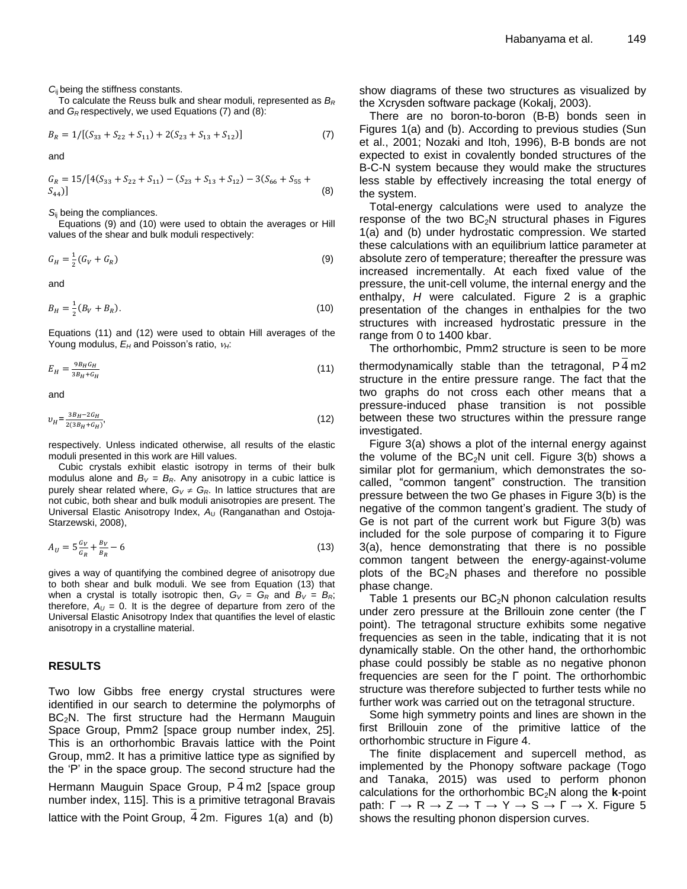*C*ij being the stiffness constants.

To calculate the Reuss bulk and shear moduli, represented as *B<sup>R</sup>* and *G<sup>R</sup>* respectively, we used Equations (7) and (8):

$$
B_R = 1/[(S_{33} + S_{22} + S_{11}) + 2(S_{23} + S_{13} + S_{12})]
$$
\n(7)

and

$$
G_R = 15/[4(S_{33} + S_{22} + S_{11}) - (S_{23} + S_{13} + S_{12}) - 3(S_{66} + S_{55} + S_{44})]
$$
\n(8)

*S*ij being the compliances.

Equations (9) and (10) were used to obtain the averages or Hill values of the shear and bulk moduli respectively:

$$
G_H = \frac{1}{2}(G_V + G_R) \tag{9}
$$

and

$$
B_H = \frac{1}{2}(B_V + B_R). \tag{10}
$$

Equations (11) and (12) were used to obtain Hill averages of the Young modulus,  $E_H$  and Poisson's ratio,  $v_H$ :

$$
E_H = \frac{9B_H G_H}{3B_H + G_H} \tag{11}
$$

and

$$
v_H = \frac{3B_H - 2G_H}{2(3B_H + G_H)},\tag{12}
$$

respectively. Unless indicated otherwise, all results of the elastic moduli presented in this work are Hill values.

Cubic crystals exhibit elastic isotropy in terms of their bulk modulus alone and  $B_V = B_R$ . Any anisotropy in a cubic lattice is purely shear related where,  $G_V \neq G_R$ . In lattice structures that are not cubic, both shear and bulk moduli anisotropies are present. The Universal Elastic Anisotropy Index, A<sub>U</sub> (Ranganathan and Ostoja-Starzewski, 2008),

$$
A_U = 5\frac{c_V}{c_R} + \frac{B_V}{B_R} - 6\tag{13}
$$

gives a way of quantifying the combined degree of anisotropy due to both shear and bulk moduli. We see from Equation (13) that when a crystal is totally isotropic then,  $G_V = G_R$  and  $B_V = B_R$ ; therefore,  $A_U = 0$ . It is the degree of departure from zero of the Universal Elastic Anisotropy Index that quantifies the level of elastic anisotropy in a crystalline material.

#### **RESULTS**

Two low Gibbs free energy crystal structures were identified in our search to determine the polymorphs of BC<sub>2</sub>N. The first structure had the Hermann Mauguin Space Group, Pmm2 [space group number index, 25]. This is an orthorhombic Bravais lattice with the Point Group, mm2. It has a primitive lattice type as signified by the ‗P' in the space group. The second structure had the Hermann Mauguin Space Group, P 4 m2 [space group number index, 115]. This is a primitive tetragonal Bravais lattice with the Point Group, 4 2m. Figures 1(a) and (b)

show diagrams of these two structures as visualized by the Xcrysden software package (Kokalj, 2003).

There are no boron-to-boron (B-B) bonds seen in Figures 1(a) and (b). According to previous studies (Sun et al., 2001; Nozaki and Itoh, 1996), B-B bonds are not expected to exist in covalently bonded structures of the B-C-N system because they would make the structures less stable by effectively increasing the total energy of the system.

Total-energy calculations were used to analyze the response of the two  $BC<sub>2</sub>N$  structural phases in Figures 1(a) and (b) under hydrostatic compression. We started these calculations with an equilibrium lattice parameter at absolute zero of temperature; thereafter the pressure was increased incrementally. At each fixed value of the pressure, the unit-cell volume, the internal energy and the enthalpy, *H* were calculated. Figure 2 is a graphic presentation of the changes in enthalpies for the two structures with increased hydrostatic pressure in the range from 0 to 1400 kbar.

The orthorhombic, Pmm2 structure is seen to be more thermodynamically stable than the tetragonal, P 4 m2 structure in the entire pressure range. The fact that the two graphs do not cross each other means that a pressure-induced phase transition is not possible between these two structures within the pressure range investigated.

Figure 3(a) shows a plot of the internal energy against the volume of the  $BC_2N$  unit cell. Figure 3(b) shows a similar plot for germanium, which demonstrates the socalled, "common tangent" construction. The transition pressure between the two Ge phases in Figure 3(b) is the negative of the common tangent's gradient. The study of Ge is not part of the current work but Figure 3(b) was included for the sole purpose of comparing it to Figure 3(a), hence demonstrating that there is no possible common tangent between the energy-against-volume plots of the  $BC_2N$  phases and therefore no possible phase change.

Table 1 presents our  $BC_2N$  phonon calculation results under zero pressure at the Brillouin zone center (the Г point). The tetragonal structure exhibits some negative frequencies as seen in the table, indicating that it is not dynamically stable. On the other hand, the orthorhombic phase could possibly be stable as no negative phonon frequencies are seen for the Г point. The orthorhombic structure was therefore subjected to further tests while no further work was carried out on the tetragonal structure.

Some high symmetry points and lines are shown in the first Brillouin zone of the primitive lattice of the orthorhombic structure in Figure 4.

The finite displacement and supercell method, as implemented by the Phonopy software package (Togo and Tanaka, 2015) was used to perform phonon calculations for the orthorhombic  $BC<sub>2</sub>N$  along the **k**-point path:  $\Gamma \rightarrow R \rightarrow Z \rightarrow T \rightarrow Y \rightarrow S \rightarrow \Gamma \rightarrow X$ . Figure 5 shows the resulting phonon dispersion curves.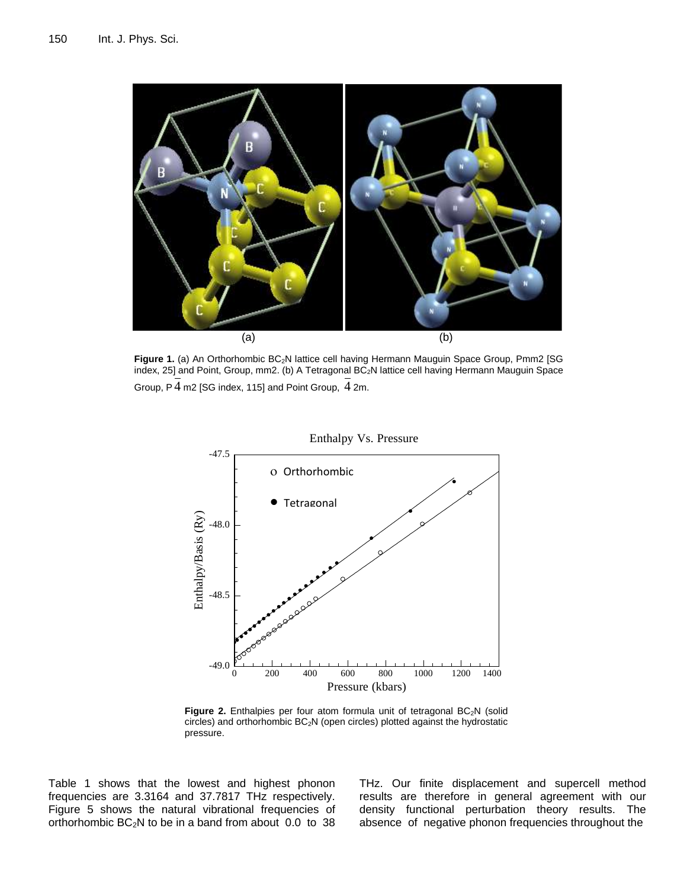

**Figure 1.** (a) An Orthorhombic BC<sub>2</sub>N lattice cell having Hermann Mauguin Space Group, Pmm2 [SG index, 25] and Point, Group, mm2. (b) A Tetragonal BC<sub>2</sub>N lattice cell having Hermann Mauguin Space Group, P 4 m2 [SG index, 115] and Point Group, 4 2m.



Figure 2. Enthalpies per four atom formula unit of tetragonal BC<sub>2</sub>N (solid circles) and orthorhombic  $BC_2N$  (open circles) plotted against the hydrostatic pressure.

Table 1 shows that the lowest and highest phonon frequencies are 3.3164 and 37.7817 THz respectively. Figure 5 shows the natural vibrational frequencies of orthorhombic  $BC_2N$  to be in a band from about 0.0 to 38 THz. Our finite displacement and supercell method results are therefore in general agreement with our density functional perturbation theory results. The absence of negative phonon frequencies throughout the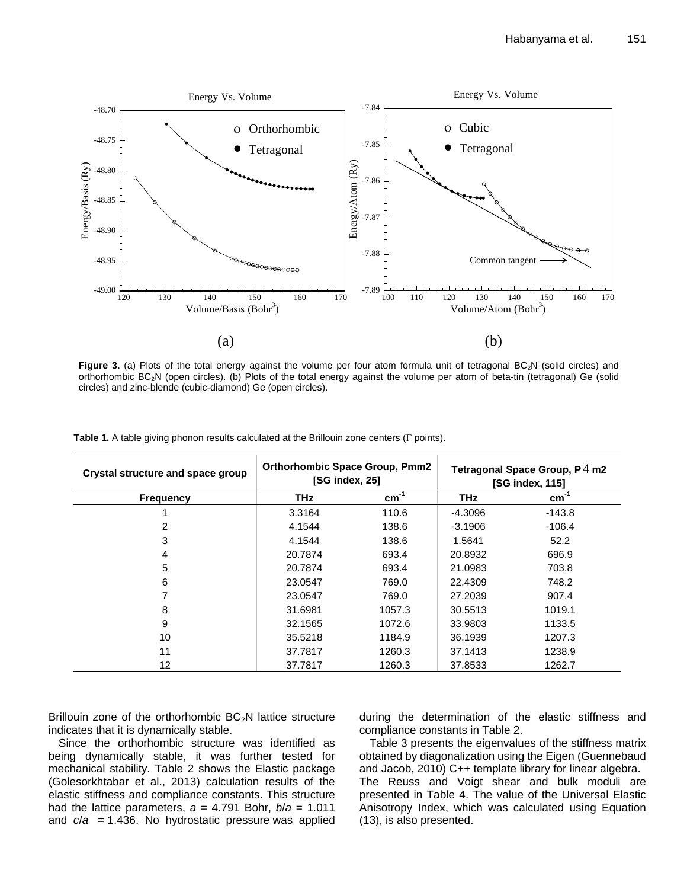

Figure 3. (a) Plots of the total energy against the volume per four atom formula unit of tetragonal BC<sub>2</sub>N (solid circles) and orthorhombic BC<sub>2</sub>N (open circles). (b) Plots of the total energy against the volume per atom of beta-tin (tetragonal) Ge (solid circles) and zinc-blende (cubic-diamond) Ge (open circles).

| Crystal structure and space group | <b>Orthorhombic Space Group, Pmm2</b><br>[SG index, 25] |           | Tetragonal Space Group, $P_1$ m2<br><b>ISG index, 1151</b> |           |
|-----------------------------------|---------------------------------------------------------|-----------|------------------------------------------------------------|-----------|
| <b>Frequency</b>                  | <b>THz</b>                                              | $cm^{-1}$ | <b>THz</b>                                                 | $cm^{-1}$ |
|                                   | 3.3164                                                  | 110.6     | $-4.3096$                                                  | $-143.8$  |
| 2                                 | 4.1544                                                  | 138.6     | $-3.1906$                                                  | $-106.4$  |
| 3                                 | 4.1544                                                  | 138.6     | 1.5641                                                     | 52.2      |
| 4                                 | 20.7874                                                 | 693.4     | 20.8932                                                    | 696.9     |
| 5                                 | 20.7874                                                 | 693.4     | 21.0983                                                    | 703.8     |
| 6                                 | 23.0547                                                 | 769.0     | 22,4309                                                    | 748.2     |
|                                   | 23.0547                                                 | 769.0     | 27.2039                                                    | 907.4     |
| 8                                 | 31.6981                                                 | 1057.3    | 30.5513                                                    | 1019.1    |
| 9                                 | 32.1565                                                 | 1072.6    | 33.9803                                                    | 1133.5    |
| 10                                | 35.5218                                                 | 1184.9    | 36.1939                                                    | 1207.3    |
| 11                                | 37.7817                                                 | 1260.3    | 37.1413                                                    | 1238.9    |
| 12                                | 37.7817                                                 | 1260.3    | 37.8533                                                    | 1262.7    |

**Table 1.** A table giving phonon results calculated at the Brillouin zone centers ( $\Gamma$  points).

Brillouin zone of the orthorhombic  $BC_2N$  lattice structure indicates that it is dynamically stable.

Since the orthorhombic structure was identified as being dynamically stable, it was further tested for mechanical stability. Table 2 shows the Elastic package (Golesorkhtabar et al., 2013) calculation results of the elastic stiffness and compliance constants. This structure had the lattice parameters,  $a = 4.791$  Bohr,  $b/a = 1.011$ and *c*/*a* = 1.436. No hydrostatic pressure was applied

during the determination of the elastic stiffness and compliance constants in Table 2.

Table 3 presents the eigenvalues of the stiffness matrix obtained by diagonalization using the Eigen (Guennebaud and Jacob, 2010) C++ template library for linear algebra. The Reuss and Voigt shear and bulk moduli are presented in Table 4. The value of the Universal Elastic Anisotropy Index, which was calculated using Equation (13), is also presented.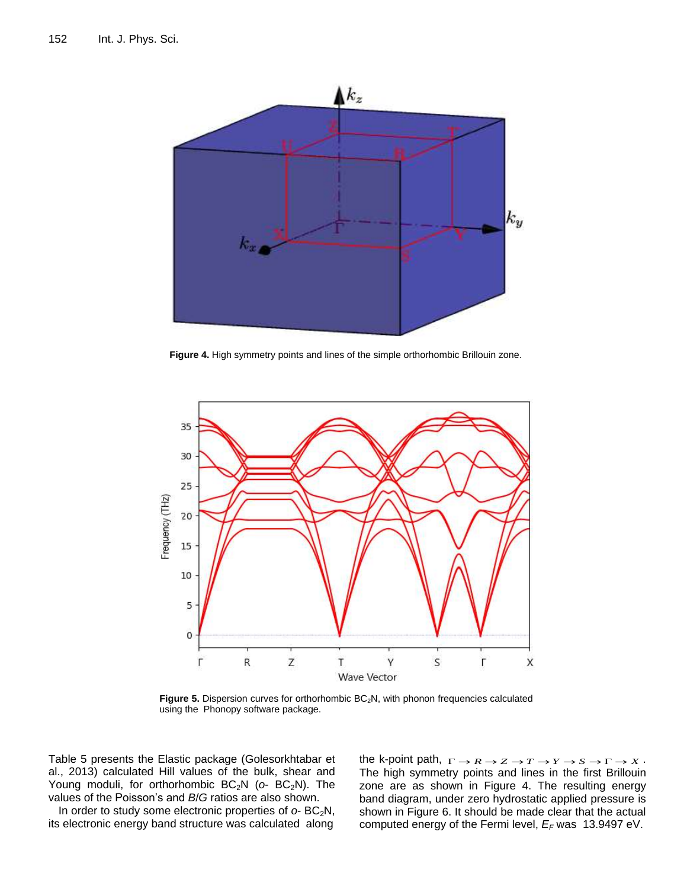

**Figure 4.** High symmetry points and lines of the simple orthorhombic Brillouin zone.



Figure 5. Dispersion curves for orthorhombic BC<sub>2</sub>N, with phonon frequencies calculated using the Phonopy software package.

Table 5 presents the Elastic package (Golesorkhtabar et al., 2013) calculated Hill values of the bulk, shear and Young moduli, for orthorhombic BC<sub>2</sub>N ( $o$ - BC<sub>2</sub>N). The values of the Poisson's and *B*/*G* ratios are also shown.

In order to study some electronic properties of  $o$ - BC<sub>2</sub>N, its electronic energy band structure was calculated along

the k-point path,  $\Gamma \rightarrow R \rightarrow Z \rightarrow T \rightarrow Y \rightarrow S \rightarrow \Gamma \rightarrow X$ . The high symmetry points and lines in the first Brillouin zone are as shown in Figure 4. The resulting energy band diagram, under zero hydrostatic applied pressure is shown in Figure 6. It should be made clear that the actual computed energy of the Fermi level, *E<sup>F</sup>* was 13.9497 eV.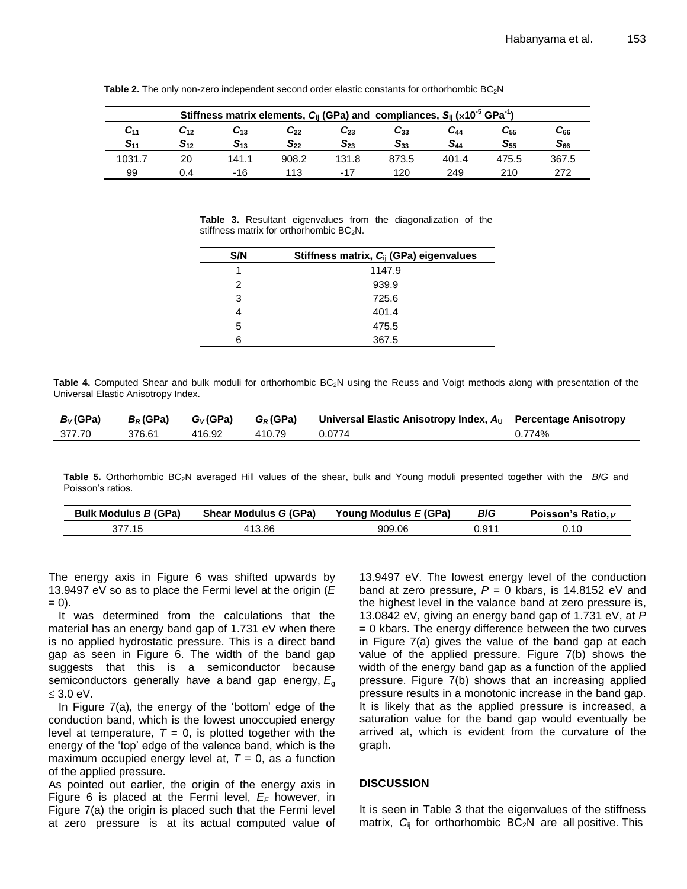| Stiffness matrix elements, $C_{ij}$ (GPa) and compliances, $S_{ij}$ (x10 <sup>-5</sup> GPa <sup>-1</sup> ) |          |          |          |          |          |          |                   |          |
|------------------------------------------------------------------------------------------------------------|----------|----------|----------|----------|----------|----------|-------------------|----------|
| $\mathcal{C}_{11}$                                                                                         | $C_{12}$ | $C_{13}$ | $C_{22}$ | $C_{23}$ | $C_{33}$ | C44      | $\mathbf{C}_{55}$ | $C_{66}$ |
| $S_{11}$                                                                                                   | $S_{12}$ | $S_{13}$ | $S_{22}$ | $S_{23}$ | $S_{33}$ | $S_{44}$ | $S_{55}$          | $S_{66}$ |
| 1031.7                                                                                                     | 20       | 141.1    | 908.2    | 131.8    | 873.5    | 401.4    | 475.5             | 367.5    |
| 99                                                                                                         | 0.4      | -16      | 113      | $-17$    | 120      | 249      | 210               | 272      |

**Table 2.** The only non-zero independent second order elastic constants for orthorhombic BC<sub>2</sub>N

**Table 3.** Resultant eigenvalues from the diagonalization of the stiffness matrix for orthorhombic  $BC_2N$ .

| S/N | Stiffness matrix, C <sub>ij</sub> (GPa) eigenvalues |
|-----|-----------------------------------------------------|
|     | 1147.9                                              |
| 2   | 939.9                                               |
| 3   | 725.6                                               |
| 4   | 401.4                                               |
| 5   | 475.5                                               |
| 6   | 367.5                                               |

Table 4. Computed Shear and bulk moduli for orthorhombic BC<sub>2</sub>N using the Reuss and Voigt methods along with presentation of the Universal Elastic Anisotropy Index.

| $B_V$ (GPa) | $B_R$ (GPa) | $G_V$ (GPa) | $G_R$ (GPa) | Universal Elastic Anisotropy Index, $A_U$ Percentage Anisotropy |      |
|-------------|-------------|-------------|-------------|-----------------------------------------------------------------|------|
| 377.70      | 376.61      | 416.92      | 410.79      | 0.0774                                                          | 774% |

**Table 5.** Orthorhombic BC2N averaged Hill values of the shear, bulk and Young moduli presented together with the *B*/*G* and Poisson's ratios.

| Bulk Modulus B (GPa) | Shear Modulus G (GPa) | Young Modulus E (GPa) | <b>B</b> /G | Poisson's Ratio. $\nu$ |
|----------------------|-----------------------|-----------------------|-------------|------------------------|
|                      | 413.86                | 909.06                | 0.91''      | ).10                   |

The energy axis in Figure 6 was shifted upwards by 13.9497 eV so as to place the Fermi level at the origin (*E*   $= 0$ ).

It was determined from the calculations that the material has an energy band gap of 1.731 eV when there is no applied hydrostatic pressure. This is a direct band gap as seen in Figure 6. The width of the band gap suggests that this is a semiconductor because semiconductors generally have a band gap energy, *E*<sup>g</sup>  $< 3.0$  eV.

In Figure  $7(a)$ , the energy of the 'bottom' edge of the conduction band, which is the lowest unoccupied energy level at temperature,  $T = 0$ , is plotted together with the energy of the 'top' edge of the valence band, which is the maximum occupied energy level at,  $T = 0$ , as a function of the applied pressure.

As pointed out earlier, the origin of the energy axis in Figure 6 is placed at the Fermi level,  $E_F$  however, in Figure 7(a) the origin is placed such that the Fermi level at zero pressure is at its actual computed value of

13.9497 eV. The lowest energy level of the conduction band at zero pressure,  $P = 0$  kbars, is 14.8152 eV and the highest level in the valance band at zero pressure is, 13.0842 eV, giving an energy band gap of 1.731 eV, at *P*  $= 0$  kbars. The energy difference between the two curves in Figure 7(a) gives the value of the band gap at each value of the applied pressure. Figure 7(b) shows the width of the energy band gap as a function of the applied pressure. Figure 7(b) shows that an increasing applied pressure results in a monotonic increase in the band gap. It is likely that as the applied pressure is increased, a saturation value for the band gap would eventually be arrived at, which is evident from the curvature of the graph.

# **DISCUSSION**

It is seen in Table 3 that the eigenvalues of the stiffness matrix,  $C_{ii}$  for orthorhombic  $BC_2N$  are all positive. This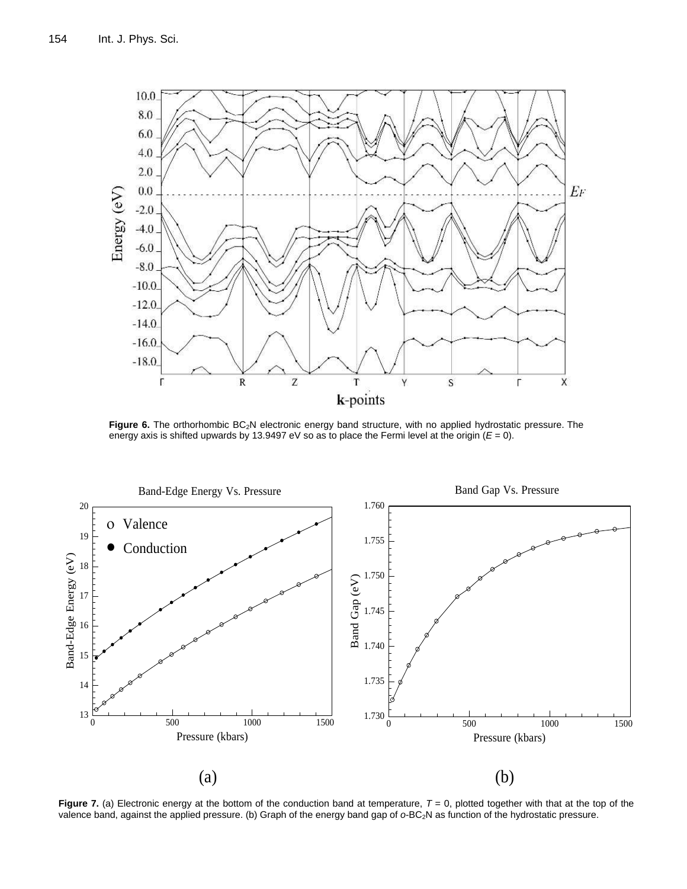

Figure 6. The orthorhombic BC<sub>2</sub>N electronic energy band structure, with no applied hydrostatic pressure. The energy axis is shifted upwards by 13.9497 eV so as to place the Fermi level at the origin (*E* = 0).



**Figure 7.** (a) Electronic energy at the bottom of the conduction band at temperature,  $T = 0$ , plotted together with that at the top of the valence band, against the applied pressure. (b) Graph of the energy band gap of  $o$ -BC<sub>2</sub>N as function of the hydrostatic pressure.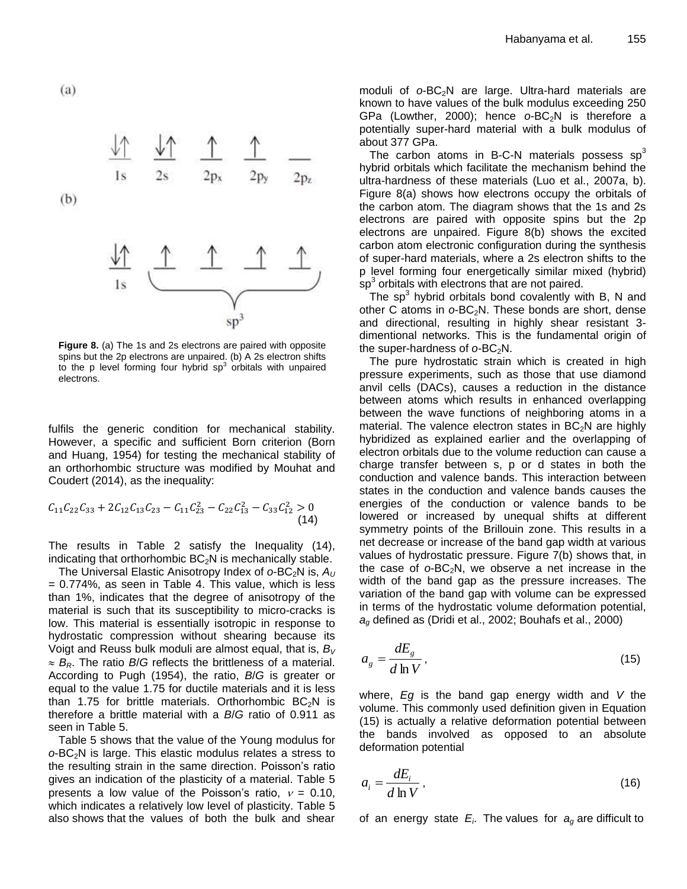$(a)$ 



**Figure 8.** (a) The 1s and 2s electrons are paired with opposite spins but the 2p electrons are unpaired. (b) A 2s electron shifts to the p level forming four hybrid  $sp^3$  orbitals with unpaired electrons.

fulfils the generic condition for mechanical stability. However, a specific and sufficient Born criterion (Born and Huang, 1954) for testing the mechanical stability of an orthorhombic structure was modified by Mouhat and Coudert (2014), as the inequality:

$$
C_{11}C_{22}C_{33} + 2C_{12}C_{13}C_{23} - C_{11}C_{23}^{2} - C_{22}C_{13}^{2} - C_{33}C_{12}^{2} > 0
$$
\n(14)

The results in Table 2 satisfy the Inequality (14), indicating that orthorhombic  $BC<sub>2</sub>N$  is mechanically stable.

The Universal Elastic Anisotropy Index of  $o$ -BC<sub>2</sub>N is,  $A_U$ = 0.774%, as seen in Table 4. This value, which is less than 1%, indicates that the degree of anisotropy of the material is such that its susceptibility to micro-cracks is low. This material is essentially isotropic in response to hydrostatic compression without shearing because its Voigt and Reuss bulk moduli are almost equal, that is, *B<sup>V</sup>*  $\approx$   $B_R$ . The ratio *B*/*G* reflects the brittleness of a material. According to Pugh (1954), the ratio, *B*/*G* is greater or equal to the value 1.75 for ductile materials and it is less than 1.75 for brittle materials. Orthorhombic  $BC_2N$  is therefore a brittle material with a *B*/*G* ratio of 0.911 as seen in Table 5.

Table 5 shows that the value of the Young modulus for *o*-BC2N is large. This elastic modulus relates a stress to the resulting strain in the same direction. Poisson's ratio gives an indication of the plasticity of a material. Table 5 presents a low value of the Poisson's ratio,  $v = 0.10$ , which indicates a relatively low level of plasticity. Table 5 also shows that the values of both the bulk and shear moduli of  $o$ -BC<sub>2</sub>N are large. Ultra-hard materials are known to have values of the bulk modulus exceeding 250 GPa (Lowther, 2000); hence o-BC<sub>2</sub>N is therefore a potentially super-hard material with a bulk modulus of about 377 GPa.

The carbon atoms in B-C-N materials possess  $sp<sup>3</sup>$ hybrid orbitals which facilitate the mechanism behind the ultra-hardness of these materials (Luo et al., 2007a, b). Figure 8(a) shows how electrons occupy the orbitals of the carbon atom. The diagram shows that the 1s and 2s electrons are paired with opposite spins but the 2p electrons are unpaired. Figure 8(b) shows the excited carbon atom electronic configuration during the synthesis of super-hard materials, where a 2s electron shifts to the p level forming four energetically similar mixed (hybrid)  $\sin^3$  orbitals with electrons that are not paired.

The  $sp<sup>3</sup>$  hybrid orbitals bond covalently with B, N and other C atoms in  $o$ -BC<sub>2</sub>N. These bonds are short, dense and directional, resulting in highly shear resistant 3 dimentional networks. This is the fundamental origin of the super-hardness of  $o$ -BC<sub>2</sub>N.

The pure hydrostatic strain which is created in high pressure experiments, such as those that use diamond anvil cells (DACs), causes a reduction in the distance between atoms which results in enhanced overlapping between the wave functions of neighboring atoms in a material. The valence electron states in  $BC<sub>2</sub>N$  are highly hybridized as explained earlier and the overlapping of electron orbitals due to the volume reduction can cause a charge transfer between s, p or d states in both the conduction and valence bands. This interaction between states in the conduction and valence bands causes the energies of the conduction or valence bands to be lowered or increased by unequal shifts at different symmetry points of the Brillouin zone. This results in a net decrease or increase of the band gap width at various values of hydrostatic pressure. Figure 7(b) shows that, in the case of  $o$ -BC<sub>2</sub>N, we observe a net increase in the width of the band gap as the pressure increases. The variation of the band gap with volume can be expressed in terms of the hydrostatic volume deformation potential, *a<sup>g</sup>* defined as (Dridi et al., 2002; Bouhafs et al., 2000)

$$
a_g = \frac{dE_g}{d\ln V},\tag{15}
$$

where, *Eg* is the band gap energy width and *V* the volume. This commonly used definition given in Equation (15) is actually a relative deformation potential between the bands involved as opposed to an absolute deformation potential

$$
a_i = \frac{dE_i}{d\ln V},\tag{16}
$$

of an energy state *E<sup>i</sup>* . The values for *a<sup>g</sup>* are difficult to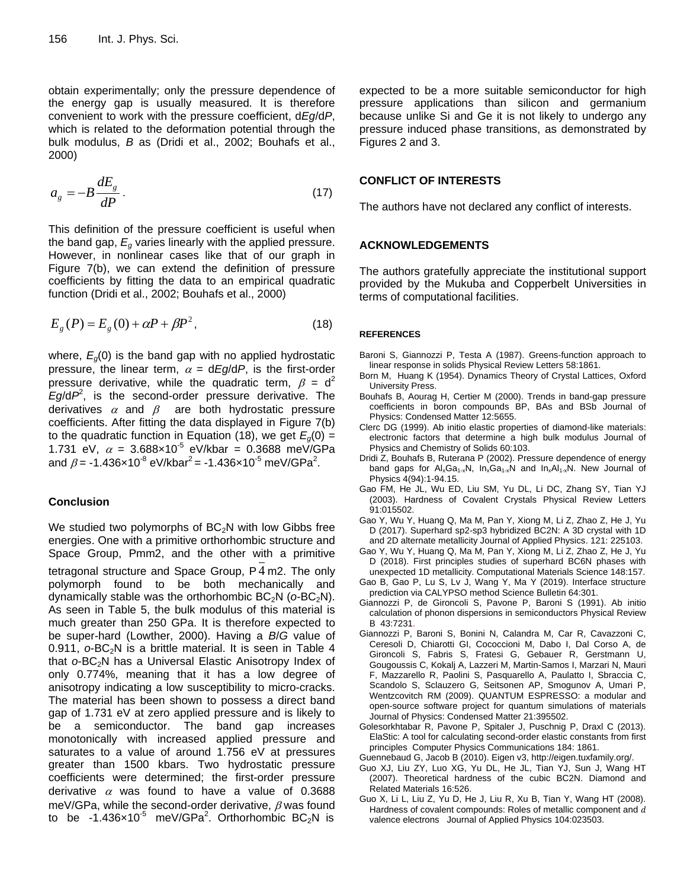obtain experimentally; only the pressure dependence of the energy gap is usually measured. It is therefore convenient to work with the pressure coefficient, d*Eg*/d*P*, which is related to the deformation potential through the bulk modulus, *B* as (Dridi et al., 2002; Bouhafs et al., 2000)

$$
a_g = -B \frac{dE_g}{dP} \,. \tag{17}
$$

This definition of the pressure coefficient is useful when the band gap,  $E_q$  varies linearly with the applied pressure. However, in nonlinear cases like that of our graph in Figure 7(b), we can extend the definition of pressure coefficients by fitting the data to an empirical quadratic function (Dridi et al., 2002; Bouhafs et al., 2000)

$$
E_g(P) = E_g(0) + \alpha P + \beta P^2,
$$
\n(18)

where, *Eg*(0) is the band gap with no applied hydrostatic pressure, the linear term,  $\alpha = dEg/dP$ , is the first-order pressure derivative, while the quadratic term,  $\beta = d^2$ *Eg*/d*P* 2 , is the second-order pressure derivative. The derivatives  $\alpha$  and  $\beta$  are both hydrostatic pressure coefficients. After fitting the data displayed in Figure 7(b) to the quadratic function in Equation (18), we get  $E_q(0) =$ 1.731 eV,  $\alpha = 3.688 \times 10^{-5}$  eV/kbar = 0.3688 meV/GPa and  $\beta$  = -1.436×10<sup>-8</sup> eV/kbar<sup>2</sup> = -1.436×10<sup>-5</sup> meV/GPa<sup>2</sup>.

# **Conclusion**

We studied two polymorphs of  $BC_2N$  with low Gibbs free energies. One with a primitive orthorhombic structure and Space Group, Pmm2, and the other with a primitive tetragonal structure and Space Group, P 4 m2. The only polymorph found to be both mechanically and dynamically stable was the orthorhombic BC<sub>2</sub>N (*o*-BC<sub>2</sub>N). As seen in Table 5, the bulk modulus of this material is much greater than 250 GPa. It is therefore expected to be super-hard (Lowther, 2000). Having a *B*/*G* value of 0.911,  $o$ -BC<sub>2</sub>N is a brittle material. It is seen in Table 4 that o-BC<sub>2</sub>N has a Universal Elastic Anisotropy Index of only 0.774%, meaning that it has a low degree of anisotropy indicating a low susceptibility to micro-cracks. The material has been shown to possess a direct band gap of 1.731 eV at zero applied pressure and is likely to be a semiconductor. The band gap increases monotonically with increased applied pressure and saturates to a value of around 1.756 eV at pressures greater than 1500 kbars. Two hydrostatic pressure coefficients were determined; the first-order pressure derivative  $\alpha$  was found to have a value of 0.3688 meV/GPa, while the second-order derivative,  $\beta$  was found to be  $-1.436 \times 10^{-5}$  meV/GPa<sup>2</sup>. Orthorhombic BC<sub>2</sub>N is

expected to be a more suitable semiconductor for high pressure applications than silicon and germanium because unlike Si and Ge it is not likely to undergo any pressure induced phase transitions, as demonstrated by Figures 2 and 3.

### **CONFLICT OF INTERESTS**

The authors have not declared any conflict of interests.

## **ACKNOWLEDGEMENTS**

The authors gratefully appreciate the institutional support provided by the Mukuba and Copperbelt Universities in terms of computational facilities.

#### **REFERENCES**

- Baroni S, Giannozzi P, Testa A (1987). Greens-function approach to linear response in solids Physical Review Letters 58:1861.
- Born M, Huang K (1954). Dynamics Theory of Crystal Lattices, Oxford University Press.
- Bouhafs B, Aourag H, Certier M (2000). Trends in band-gap pressure coefficients in boron compounds BP, BAs and BSb Journal of Physics: Condensed Matter 12:5655.
- Clerc DG (1999). Ab initio elastic properties of diamond-like materials: electronic factors that determine a high bulk modulus Journal of Physics and Chemistry of Solids 60:103.
- Dridi Z, Bouhafs B, Ruterana P (2002). Pressure dependence of energy band gaps for  $\mathsf{Al}_xGa_{1-x}N$ ,  $\mathsf{In}_xGa_{1-x}N$  and  $\mathsf{In}_x\mathsf{Al}_{1-x}N$ . New Journal of Physics 4(94):1-94.15.
- Gao FM, He JL, Wu ED, Liu SM, Yu DL, Li DC, Zhang SY, Tian YJ (2003). Hardness of Covalent Crystals Physical Review Letters 91:015502.
- Gao Y, Wu Y, Huang Q, Ma M, Pan Y, Xiong M, Li Z, Zhao Z, He J, Yu D (2017). Superhard sp2-sp3 hybridized BC2N: A 3D crystal with 1D and 2D alternate metallicity Journal of Applied Physics. 121: 225103.
- Gao Y, Wu Y, Huang Q, Ma M, Pan Y, Xiong M, Li Z, Zhao Z, He J, Yu D (2018). First principles studies of superhard BC6N phases with unexpected 1D metallicity. Computational Materials Science 148:157.
- Gao B, Gao P, Lu S, Lv J, Wang Y, Ma Y (2019). Interface structure prediction via CALYPSO method Science Bulletin 64:301.
- Giannozzi P, de Gironcoli S, Pavone P, Baroni S (1991). Ab initio calculation of phonon dispersions in semiconductors Physical Review B 43:7231.
- Giannozzi P, Baroni S, Bonini N, Calandra M, Car R, Cavazzoni C, Ceresoli D, Chiarotti GI, Cococcioni M, Dabo I, Dal Corso A, de Gironcoli S, Fabris S, Fratesi G, Gebauer R, Gerstmann U, Gougoussis C, Kokalj A, Lazzeri M, Martin-Samos I, Marzari N, Mauri F, Mazzarello R, Paolini S, Pasquarello A, Paulatto I, Sbraccia C, Scandolo S, Sclauzero G, Seitsonen AP, Smogunov A, Umari P, Wentzcovitch RM (2009). QUANTUM ESPRESSO: a modular and open-source software project for quantum simulations of materials Journal of Physics: Condensed Matter 21:395502.
- Golesorkhtabar R, Pavone P, Spitaler J, Puschnig P, Draxl C (2013). ElaStic: A tool for calculating second-order elastic constants from first principles Computer Physics Communications 184: 1861.
- Guennebaud G, Jacob B (2010). Eigen v3, http://eigen.tuxfamily.org/.
- Guo XJ, Liu ZY, Luo XG, Yu DL, He JL, Tian YJ, Sun J, Wang HT (2007). Theoretical hardness of the cubic BC2N. Diamond and Related Materials 16:526.
- Guo X, Li L, Liu Z, Yu D, He J, Liu R, Xu B, Tian Y, Wang HT (2008). Hardness of covalent compounds: Roles of metallic component and  $d$ valence electrons Journal of Applied Physics 104:023503.